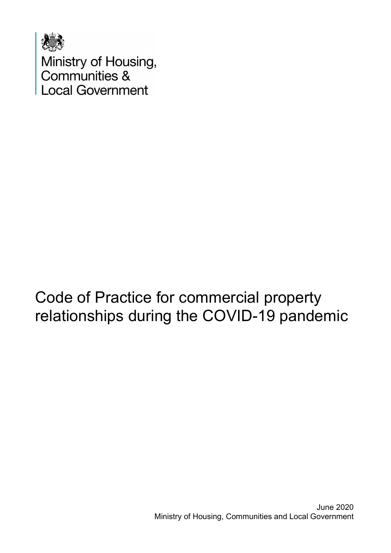

Ministry of Housing,<br>Communities &<br>Local Government

# Code of Practice for commercial property relationships during the COVID-19 pandemic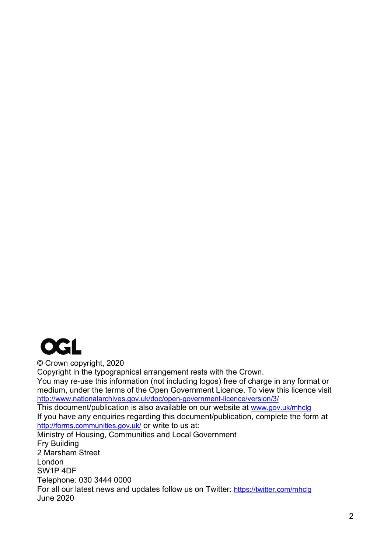

© Crown copyright, 2020 Copyright in the typographical arrangement rests with the Crown. You may re-use this information (not including logos) free of charge in any format or medium, under the terms of the Open Government Licence. To view this licence visit <http://www.nationalarchives.gov.uk/doc/open-government-licence/version/3/> This document/publication is also available on our website at [www.gov.uk/mhclg](http://www.gov.uk/mhclg) If you have any enquiries regarding this document/publication, complete the form at <http://forms.communities.gov.uk/> or write to us at: Ministry of Housing, Communities and Local Government Fry Building 2 Marsham Street London SW1P 4DF Telephone: 030 3444 0000 For all our latest news and updates follow us on Twitter: <https://twitter.com/mhclg> June 2020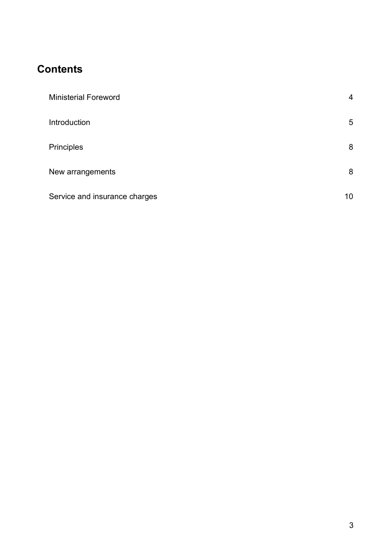#### **Contents**

| <b>Ministerial Foreword</b>   | $\overline{4}$ |
|-------------------------------|----------------|
| Introduction                  | 5              |
| Principles                    | 8              |
| New arrangements              | 8              |
| Service and insurance charges | 10             |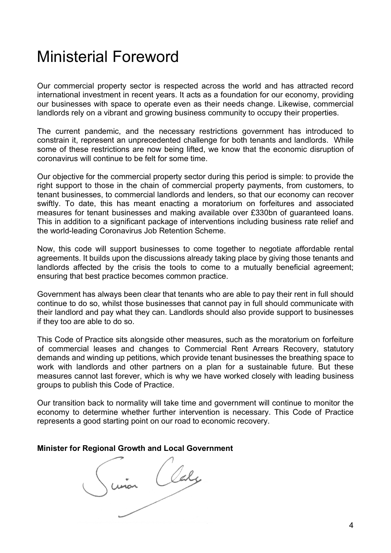## <span id="page-3-0"></span>Ministerial Foreword

Our commercial property sector is respected across the world and has attracted record international investment in recent years. It acts as a foundation for our economy, providing our businesses with space to operate even as their needs change. Likewise, commercial landlords rely on a vibrant and growing business community to occupy their properties.

The current pandemic, and the necessary restrictions government has introduced to constrain it, represent an unprecedented challenge for both tenants and landlords. While some of these restrictions are now being lifted, we know that the economic disruption of coronavirus will continue to be felt for some time.

Our objective for the commercial property sector during this period is simple: to provide the right support to those in the chain of commercial property payments, from customers, to tenant businesses, to commercial landlords and lenders, so that our economy can recover swiftly. To date, this has meant enacting a moratorium on forfeitures and associated measures for tenant businesses and making available over £330bn of guaranteed loans. This in addition to a significant package of interventions including business rate relief and the world-leading Coronavirus Job Retention Scheme.

Now, this code will support businesses to come together to negotiate affordable rental agreements. It builds upon the discussions already taking place by giving those tenants and landlords affected by the crisis the tools to come to a mutually beneficial agreement; ensuring that best practice becomes common practice.

Government has always been clear that tenants who are able to pay their rent in full should continue to do so, whilst those businesses that cannot pay in full should communicate with their landlord and pay what they can. Landlords should also provide support to businesses if they too are able to do so.

This Code of Practice sits alongside other measures, such as the moratorium on forfeiture of commercial leases and changes to Commercial Rent Arrears Recovery, statutory demands and winding up petitions, which provide tenant businesses the breathing space to work with landlords and other partners on a plan for a sustainable future. But these measures cannot last forever, which is why we have worked closely with leading business groups to publish this Code of Practice.

Our transition back to normality will take time and government will continue to monitor the economy to determine whether further intervention is necessary. This Code of Practice represents a good starting point on our road to economic recovery.

Minister for Regional Growth and Local Government<br>
Union<br>
Union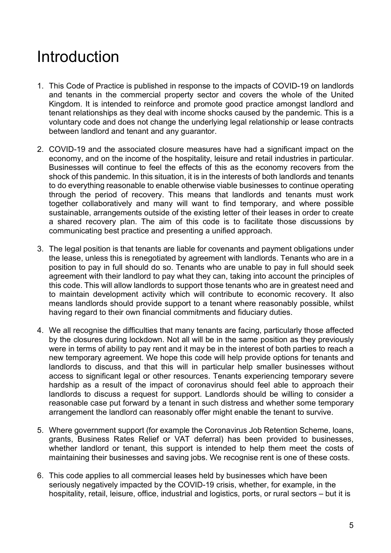# <span id="page-4-0"></span>Introduction

- 1. This Code of Practice is published in response to the impacts of COVID-19 on landlords and tenants in the commercial property sector and covers the whole of the United Kingdom. It is intended to reinforce and promote good practice amongst landlord and tenant relationships as they deal with income shocks caused by the pandemic. This is a voluntary code and does not change the underlying legal relationship or lease contracts between landlord and tenant and any guarantor.
- 2. COVID-19 and the associated closure measures have had a significant impact on the economy, and on the income of the hospitality, leisure and retail industries in particular. Businesses will continue to feel the effects of this as the economy recovers from the shock of this pandemic. In this situation, it is in the interests of both landlords and tenants to do everything reasonable to enable otherwise viable businesses to continue operating through the period of recovery. This means that landlords and tenants must work together collaboratively and many will want to find temporary, and where possible sustainable, arrangements outside of the existing letter of their leases in order to create a shared recovery plan. The aim of this code is to facilitate those discussions by communicating best practice and presenting a unified approach.
- 3. The legal position is that tenants are liable for covenants and payment obligations under the lease, unless this is renegotiated by agreement with landlords. Tenants who are in a position to pay in full should do so. Tenants who are unable to pay in full should seek agreement with their landlord to pay what they can, taking into account the principles of this code. This will allow landlords to support those tenants who are in greatest need and to maintain development activity which will contribute to economic recovery. It also means landlords should provide support to a tenant where reasonably possible, whilst having regard to their own financial commitments and fiduciary duties.
- 4. We all recognise the difficulties that many tenants are facing, particularly those affected by the closures during lockdown. Not all will be in the same position as they previously were in terms of ability to pay rent and it may be in the interest of both parties to reach a new temporary agreement. We hope this code will help provide options for tenants and landlords to discuss, and that this will in particular help smaller businesses without access to significant legal or other resources. Tenants experiencing temporary severe hardship as a result of the impact of coronavirus should feel able to approach their landlords to discuss a request for support. Landlords should be willing to consider a reasonable case put forward by a tenant in such distress and whether some temporary arrangement the landlord can reasonably offer might enable the tenant to survive.
- 5. Where government support (for example the Coronavirus Job Retention Scheme, loans, grants, Business Rates Relief or VAT deferral) has been provided to businesses, whether landlord or tenant, this support is intended to help them meet the costs of maintaining their businesses and saving jobs. We recognise rent is one of these costs.
- 6. This code applies to all commercial leases held by businesses which have been seriously negatively impacted by the COVID-19 crisis, whether, for example, in the hospitality, retail, leisure, office, industrial and logistics, ports, or rural sectors – but it is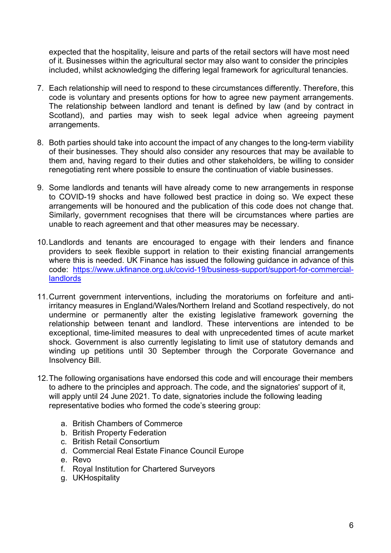expected that the hospitality, leisure and parts of the retail sectors will have most need of it. Businesses within the agricultural sector may also want to consider the principles included, whilst acknowledging the differing legal framework for agricultural tenancies.

- 7. Each relationship will need to respond to these circumstances differently. Therefore, this code is voluntary and presents options for how to agree new payment arrangements. The relationship between landlord and tenant is defined by law (and by contract in Scotland), and parties may wish to seek legal advice when agreeing payment arrangements.
- 8. Both parties should take into account the impact of any changes to the long-term viability of their businesses. They should also consider any resources that may be available to them and, having regard to their duties and other stakeholders, be willing to consider renegotiating rent where possible to ensure the continuation of viable businesses.
- 9. Some landlords and tenants will have already come to new arrangements in response to COVID-19 shocks and have followed best practice in doing so. We expect these arrangements will be honoured and the publication of this code does not change that. Similarly, government recognises that there will be circumstances where parties are unable to reach agreement and that other measures may be necessary.
- 10.Landlords and tenants are encouraged to engage with their lenders and finance providers to seek flexible support in relation to their existing financial arrangements where this is needed. UK Finance has issued the following guidance in advance of this code: [https://www.ukfinance.org.uk/covid-19/business-support/support-for-commercial](https://www.ukfinance.org.uk/covid-19/business-support/support-for-commercial-landlords)[landlords](https://www.ukfinance.org.uk/covid-19/business-support/support-for-commercial-landlords)
- 11.Current government interventions, including the moratoriums on forfeiture and antiirritancy measures in England/Wales/Northern Ireland and Scotland respectively, do not undermine or permanently alter the existing legislative framework governing the relationship between tenant and landlord. These interventions are intended to be exceptional, time-limited measures to deal with unprecedented times of acute market shock. Government is also currently legislating to limit use of statutory demands and winding up petitions until 30 September through the Corporate Governance and Insolvency Bill.
- 12.The following organisations have endorsed this code and will encourage their members to adhere to the principles and approach. The code, and the signatories' support of it, will apply until 24 June 2021. To date, signatories include the following leading representative bodies who formed the code's steering group:
	- a. British Chambers of Commerce
	- b. British Property Federation
	- c. British Retail Consortium
	- d. Commercial Real Estate Finance Council Europe
	- e. Revo
	- f. Royal Institution for Chartered Surveyors
	- g. UKHospitality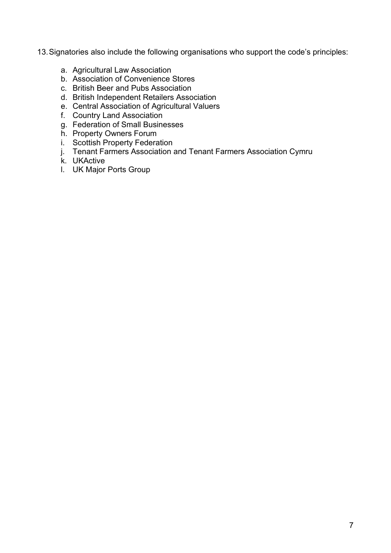- 13.Signatories also include the following organisations who support the code's principles:
	- a. Agricultural Law Association
	- b. Association of Convenience Stores
	- c. British Beer and Pubs Association
	- d. British Independent Retailers Association
	- e. Central Association of Agricultural Valuers
	- f. Country Land Association
	- g. Federation of Small Businesses
	- h. Property Owners Forum
	- i. Scottish Property Federation
	- j. Tenant Farmers Association and Tenant Farmers Association Cymru
	- k. UKActive
	- l. UK Major Ports Group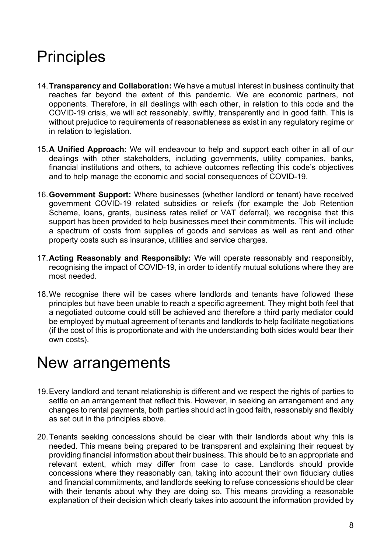# <span id="page-7-0"></span>**Principles**

- 14.**Transparency and Collaboration:** We have a mutual interest in business continuity that reaches far beyond the extent of this pandemic. We are economic partners, not opponents. Therefore, in all dealings with each other, in relation to this code and the COVID-19 crisis, we will act reasonably, swiftly, transparently and in good faith. This is without prejudice to requirements of reasonableness as exist in any regulatory regime or in relation to legislation.
- 15.**A Unified Approach:** We will endeavour to help and support each other in all of our dealings with other stakeholders, including governments, utility companies, banks, financial institutions and others, to achieve outcomes reflecting this code's objectives and to help manage the economic and social consequences of COVID-19.
- 16.**Government Support:** Where businesses (whether landlord or tenant) have received government COVID-19 related subsidies or reliefs (for example the Job Retention Scheme, loans, grants, business rates relief or VAT deferral), we recognise that this support has been provided to help businesses meet their commitments. This will include a spectrum of costs from supplies of goods and services as well as rent and other property costs such as insurance, utilities and service charges.
- 17.**Acting Reasonably and Responsibly:** We will operate reasonably and responsibly, recognising the impact of COVID-19, in order to identify mutual solutions where they are most needed.
- 18.We recognise there will be cases where landlords and tenants have followed these principles but have been unable to reach a specific agreement. They might both feel that a negotiated outcome could still be achieved and therefore a third party mediator could be employed by mutual agreement of tenants and landlords to help facilitate negotiations (if the cost of this is proportionate and with the understanding both sides would bear their own costs).

### <span id="page-7-1"></span>New arrangements

- 19.Every landlord and tenant relationship is different and we respect the rights of parties to settle on an arrangement that reflect this. However, in seeking an arrangement and any changes to rental payments, both parties should act in good faith, reasonably and flexibly as set out in the principles above.
- 20.Tenants seeking concessions should be clear with their landlords about why this is needed. This means being prepared to be transparent and explaining their request by providing financial information about their business. This should be to an appropriate and relevant extent, which may differ from case to case. Landlords should provide concessions where they reasonably can, taking into account their own fiduciary duties and financial commitments, and landlords seeking to refuse concessions should be clear with their tenants about why they are doing so. This means providing a reasonable explanation of their decision which clearly takes into account the information provided by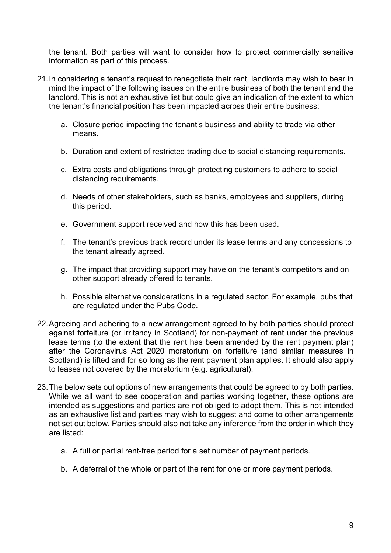the tenant. Both parties will want to consider how to protect commercially sensitive information as part of this process.

- 21.In considering a tenant's request to renegotiate their rent, landlords may wish to bear in mind the impact of the following issues on the entire business of both the tenant and the landlord. This is not an exhaustive list but could give an indication of the extent to which the tenant's financial position has been impacted across their entire business:
	- a. Closure period impacting the tenant's business and ability to trade via other means.
	- b. Duration and extent of restricted trading due to social distancing requirements.
	- c. Extra costs and obligations through protecting customers to adhere to social distancing requirements.
	- d. Needs of other stakeholders, such as banks, employees and suppliers, during this period.
	- e. Government support received and how this has been used.
	- f. The tenant's previous track record under its lease terms and any concessions to the tenant already agreed.
	- g. The impact that providing support may have on the tenant's competitors and on other support already offered to tenants.
	- h. Possible alternative considerations in a regulated sector. For example, pubs that are regulated under the Pubs Code.
- 22.Agreeing and adhering to a new arrangement agreed to by both parties should protect against forfeiture (or irritancy in Scotland) for non-payment of rent under the previous lease terms (to the extent that the rent has been amended by the rent payment plan) after the Coronavirus Act 2020 moratorium on forfeiture (and similar measures in Scotland) is lifted and for so long as the rent payment plan applies. It should also apply to leases not covered by the moratorium (e.g. agricultural).
- 23.The below sets out options of new arrangements that could be agreed to by both parties. While we all want to see cooperation and parties working together, these options are intended as suggestions and parties are not obliged to adopt them. This is not intended as an exhaustive list and parties may wish to suggest and come to other arrangements not set out below. Parties should also not take any inference from the order in which they are listed:
	- a. A full or partial rent-free period for a set number of payment periods.
	- b. A deferral of the whole or part of the rent for one or more payment periods.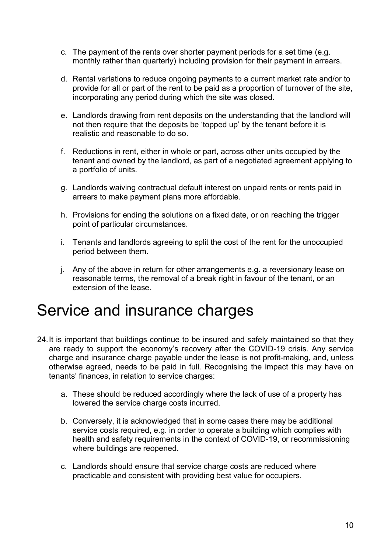- c. The payment of the rents over shorter payment periods for a set time (e.g. monthly rather than quarterly) including provision for their payment in arrears.
- d. Rental variations to reduce ongoing payments to a current market rate and/or to provide for all or part of the rent to be paid as a proportion of turnover of the site, incorporating any period during which the site was closed.
- e. Landlords drawing from rent deposits on the understanding that the landlord will not then require that the deposits be 'topped up' by the tenant before it is realistic and reasonable to do so.
- f. Reductions in rent, either in whole or part, across other units occupied by the tenant and owned by the landlord, as part of a negotiated agreement applying to a portfolio of units.
- g. Landlords waiving contractual default interest on unpaid rents or rents paid in arrears to make payment plans more affordable.
- h. Provisions for ending the solutions on a fixed date, or on reaching the trigger point of particular circumstances.
- i. Tenants and landlords agreeing to split the cost of the rent for the unoccupied period between them.
- j. Any of the above in return for other arrangements e.g. a reversionary lease on reasonable terms, the removal of a break right in favour of the tenant, or an extension of the lease.

### <span id="page-9-0"></span>Service and insurance charges

- 24.It is important that buildings continue to be insured and safely maintained so that they are ready to support the economy's recovery after the COVID-19 crisis. Any service charge and insurance charge payable under the lease is not profit-making, and, unless otherwise agreed, needs to be paid in full. Recognising the impact this may have on tenants' finances, in relation to service charges:
	- a. These should be reduced accordingly where the lack of use of a property has lowered the service charge costs incurred.
	- b. Conversely, it is acknowledged that in some cases there may be additional service costs required, e.g. in order to operate a building which complies with health and safety requirements in the context of COVID-19, or recommissioning where buildings are reopened.
	- c. Landlords should ensure that service charge costs are reduced where practicable and consistent with providing best value for occupiers.